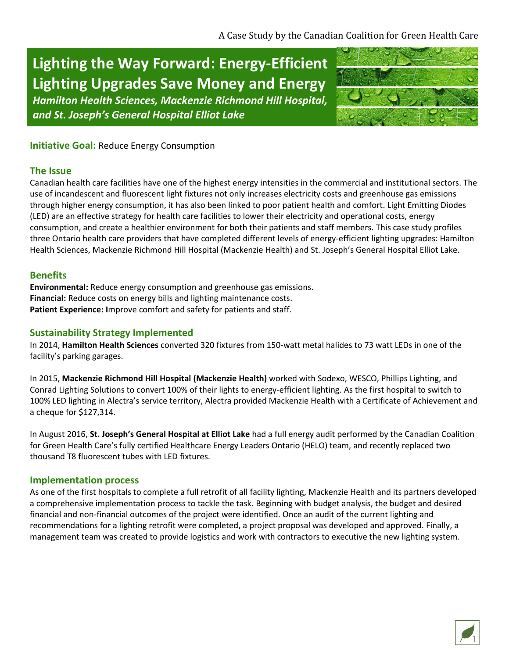# **Lighting the Way Forward: Energy-Efficient Lighting Upgrades Save Money and Energy**

*Hamilton Health Sciences, Mackenzie Richmond Hill Hospital, and St. Joseph's General Hospital Elliot Lake*



# **Initiative Goal: Reduce Energy Consumption**

## **The Issue**

Canadian health care facilities have one of the highest energy intensities in the commercial and institutional sectors. The use of incandescent and fluorescent light fixtures not only increases electricity costs and greenhouse gas emissions through higher energy consumption, it has also been linked to poor patient health and comfort. Light Emitting Diodes (LED) are an effective strategy for health care facilities to lower their electricity and operational costs, energy consumption, and create a healthier environment for both their patients and staff members. This case study profiles three Ontario health care providers that have completed different levels of energy-efficient lighting upgrades: Hamilton Health Sciences, Mackenzie Richmond Hill Hospital (Mackenzie Health) and St. Joseph's General Hospital Elliot Lake.

## **Benefits**

**Environmental:** Reduce energy consumption and greenhouse gas emissions. **Financial:** Reduce costs on energy bills and lighting maintenance costs. **Patient Experience: I**mprove comfort and safety for patients and staff.

# **Sustainability Strategy Implemented**

In 2014, **Hamilton Health Sciences** converted 320 fixtures from 150-watt metal halides to 73 watt LEDs in one of the facility's parking garages.

In 2015, **Mackenzie Richmond Hill Hospital (Mackenzie Health)** worked with Sodexo, WESCO, Phillips Lighting, and Conrad Lighting Solutions to convert 100% of their lights to energy-efficient lighting. As the first hospital to switch to 100% LED lighting in Alectra's service territory, Alectra provided Mackenzie Health with a Certificate of Achievement and a cheque for \$127,314.

In August 2016, **St. Joseph's General Hospital at Elliot Lake** had a full energy audit performed by the Canadian Coalition for Green Health Care's fully certified Healthcare Energy Leaders Ontario (HELO) team, and recently replaced two thousand T8 fluorescent tubes with LED fixtures.

### **Implementation process**

As one of the first hospitals to complete a full retrofit of all facility lighting, Mackenzie Health and its partners developed a comprehensive implementation process to tackle the task. Beginning with budget analysis, the budget and desired financial and non-financial outcomes of the project were identified. Once an audit of the current lighting and recommendations for a lighting retrofit were completed, a project proposal was developed and approved. Finally, a management team was created to provide logistics and work with contractors to executive the new lighting system.